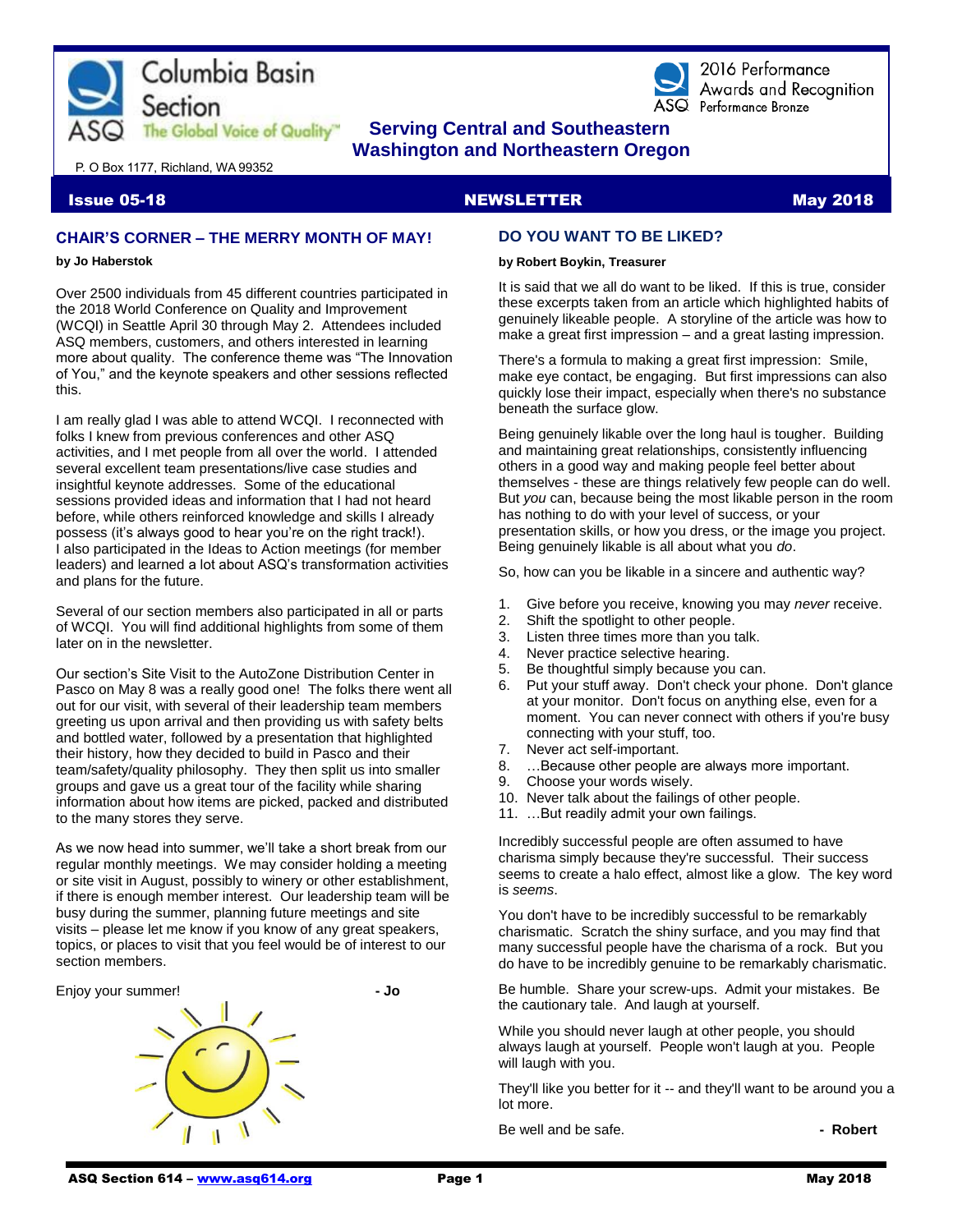



2016 Performance Awards and Recoanition ASQ Performance Bronze

# **The Global Voice of Quality"** Serving Central and Southeastern  **Washington and Northeastern Oregon**

P. O Box 1177, Richland, WA 99352

## **Issue 05-18 NEWSLETTER And Account Contract Contract On the U.S. Account Contract Contract On the U.S. Account**

# **CHAIR'S CORNER – THE MERRY MONTH OF MAY!**

#### **by Jo Haberstok**

Over 2500 individuals from 45 different countries participated in the 2018 World Conference on Quality and Improvement (WCQI) in Seattle April 30 through May 2. Attendees included ASQ members, customers, and others interested in learning more about quality. The conference theme was "The Innovation of You," and the keynote speakers and other sessions reflected this.

I am really glad I was able to attend WCQI. I reconnected with folks I knew from previous conferences and other ASQ activities, and I met people from all over the world. I attended several excellent team presentations/live case studies and insightful keynote addresses. Some of the educational sessions provided ideas and information that I had not heard before, while others reinforced knowledge and skills I already possess (it's always good to hear you're on the right track!). I also participated in the Ideas to Action meetings (for member leaders) and learned a lot about ASQ's transformation activities and plans for the future.

Several of our section members also participated in all or parts of WCQI. You will find additional highlights from some of them later on in the newsletter.

Our section's Site Visit to the AutoZone Distribution Center in Pasco on May 8 was a really good one! The folks there went all out for our visit, with several of their leadership team members greeting us upon arrival and then providing us with safety belts and bottled water, followed by a presentation that highlighted their history, how they decided to build in Pasco and their team/safety/quality philosophy. They then split us into smaller groups and gave us a great tour of the facility while sharing information about how items are picked, packed and distributed to the many stores they serve.

As we now head into summer, we'll take a short break from our regular monthly meetings. We may consider holding a meeting or site visit in August, possibly to winery or other establishment, if there is enough member interest. Our leadership team will be busy during the summer, planning future meetings and site visits – please let me know if you know of any great speakers, topics, or places to visit that you feel would be of interest to our section members.



# **DO YOU WANT TO BE LIKED?**

### **by Robert Boykin, Treasurer**

It is said that we all do want to be liked. If this is true, consider these excerpts taken from an article which highlighted habits of genuinely likeable people. A storyline of the article was how to make a great first impression – and a great lasting impression.

There's a formula to making [a great first impression:](https://www.inc.com/jeff-haden/how-to-build-exceptional-relationships-9-habits-of-people-we-love-to-work-with.html) Smile, make eye contact, be engaging. But first impressions can also quickly lose their impact, especially when there's no substance beneath the surface glow.

Being genuinely likable over the long haul is tougher. Building and maintaining great relationships, consistently influencing others in a good way and making people feel better about themselves - these are things relatively few people can do well. But *you* can, because being the most likable person in the room has nothing to do with your level of success, or your presentation skills, or how you dress, or the image you project. Being genuinely likable is all about what you *do*.

So, how can you be likable in a sincere and authentic way?

- 1. Give before you receive, knowing you may *never* receive.
- 2. Shift the spotlight to other people.
- 3. Listen three times more than you talk.
- 4. Never practice selective hearing.
- 5. Be thoughtful simply because you can.
- 6. Put your stuff away. Don't check your phone. Don't glance at your monitor. Don't focus on anything else, even for a moment. You can never connect with others if you're busy connecting with your stuff, too.
- 7. Never act self-important.
- 8. …Because other people are always more important.
- 9. Choose your words wisely.
- 10. Never talk about the failings of other people.
- 11. …But readily admit your own failings.

Incredibly successful people are often assumed to have charisma simply because they're successful. Their success seems to create a halo effect, almost like a glow. The key word is *seems*.

You don't have to be incredibly successful to be remarkably charismatic. Scratch the shiny surface, and you may find that many successful people have the charisma of a rock. But you do have to be incredibly genuine to be remarkably charismatic.

Be humble. Share your screw-ups. Admit your mistakes. Be the cautionary tale. And laugh at yourself.

While you should never laugh at other people, you should always laugh at yourself. People won't laugh at you. People will laugh with you.

They'll like you better for it -- and they'll want to be around you a lot more.

Be well and be safe. **and in the same of the same of the same of the Robert - Robert**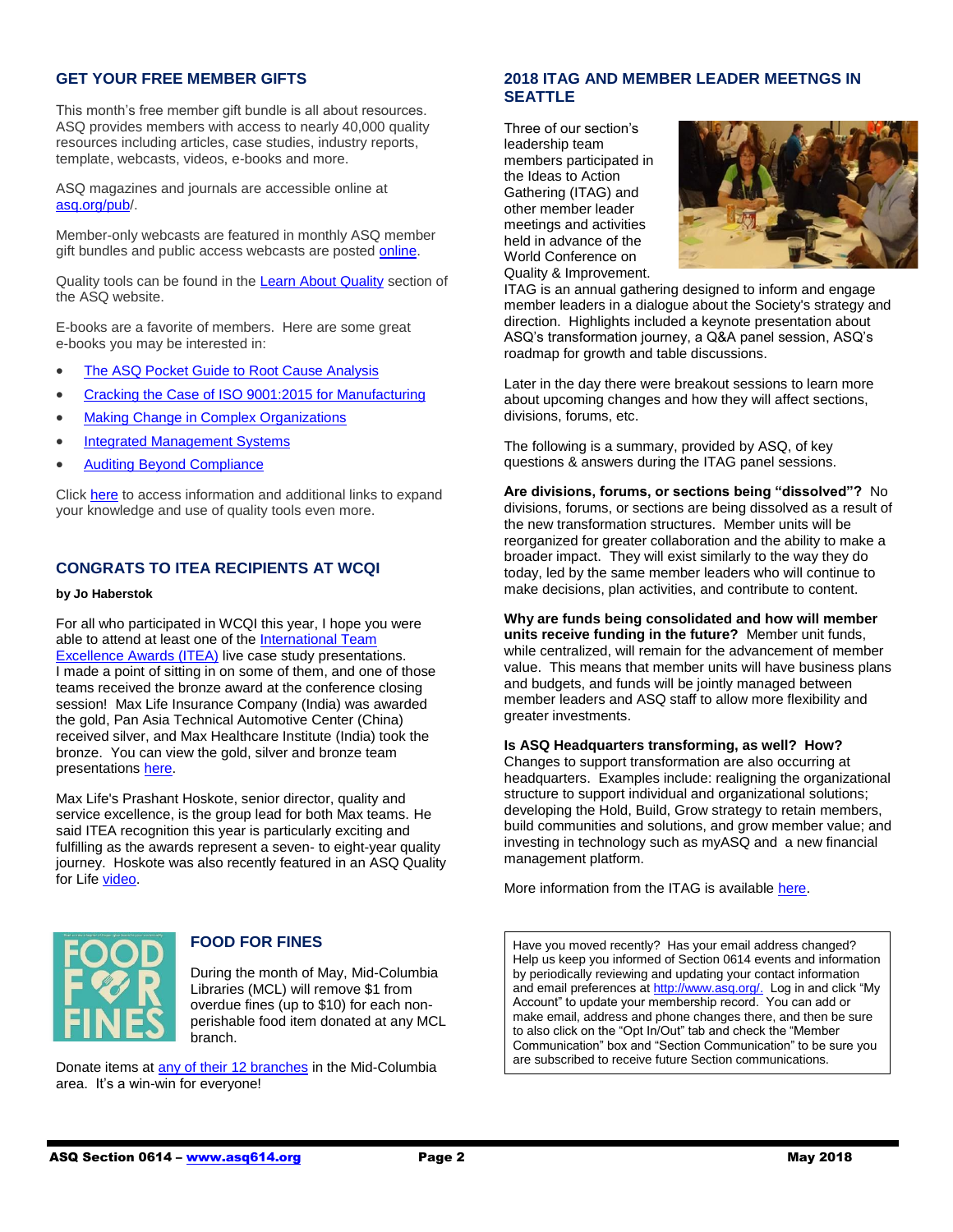# **GET YOUR FREE MEMBER GIFTS**

This month's free member gift bundle is all about resources. ASQ provides members with access to nearly 40,000 quality resources including articles, case studies, industry reports, template, webcasts, videos, e-books and more.

ASQ magazines and journals are accessible online at [asq.org/pub/](http://asq.org/pub).

Member-only webcasts are featured in monthly ASQ member gift bundles and public access webcasts are poste[d online.](http://asq.org/quality-resources/webcasts)

Quality tools can be found in the [Learn About Quality](http://asq.org/learn-about-quality/tools-templates.html) section of the ASQ website.

E-books are a favorite of members. Here are some great e-books you may be interested in:

- [The ASQ Pocket Guide to Root Cause Analysis](http://asq.org/members/docs/e1460.pdf)
- [Cracking the Case of ISO 9001:2015 for Manufacturing](http://asq.org/account/login?prvurl=/-/media/pdf/member-gift/201804/cracking-the-case-of-ISO-9001-2015-for-mfg-e1482.pdf)
- [Making Change in Complex Organizations](https://asq.org/account/login?prvurl=/-/media/members/gift/201803/making-change-in-complex-organizations_asq-e1506.pdf)
- [Integrated Management Systems](http://asq.org/membership/docs/e1474.pdf)
- [Auditing Beyond Compliance](http://asq.org/membership/docs/e1430.pdf)

Click [here](file:///G:/ASQ%202018/2018%20Newsletters/May%202018%20Newsletter/asq.org/membership/members/gift/index.html) to access information and additional links to expand your knowledge and use of quality tools even more.

# **CONGRATS TO ITEA RECIPIENTS AT WCQI**

#### **by Jo Haberstok**

For all who participated in WCQI this year, I hope you were able to attend at least one of the **International Team [Excellence Awards \(ITEA\)](https://asq.org/programs/team-excellence?utm_source=email&utm_medium=email&utm_campaign=communications_fff_5.11.18) live case study presentations.** I made a point of sitting in on some of them, and one of those teams received the bronze award at the conference closing session! Max Life Insurance Company (India) was awarded the gold, Pan Asia Technical Automotive Center (China) received silver, and Max Healthcare Institute (India) took the bronze. You can view the gold, silver and bronze team presentation[s here.](https://asq.org/programs/team-excellence/past-winners?utm_source=email&utm_medium=email&utm_campaign=communications_fff_5.11.18)

Max Life's Prashant Hoskote, senior director, quality and service excellence, is the group lead for both Max teams. He said ITEA recognition this year is particularly exciting and fulfilling as the awards represent a seven- to eight-year quality journey. Hoskote was also recently featured in an ASQ Quality for Life [video.](http://send.asq.org/link.cfm?r=O4fm4FESIoti18Gkq1PUMw~~&pe=Yxzx7M8JJTFlPyZTR1BT857dr1E3d_y97rCEt5WZKJuPWpBmTUmpsy_aj93MFC4kIr_3epPbLfiTmeuFUAgtiQ~~&t=7iIulqosH8D8U36qpQHQdw~~)



# **FOOD FOR FINES**

During the month of May, Mid-Columbia Libraries (MCL) will remove \$1 from overdue fines (up to \$10) for each nonperishable food item donated at any MCL branch.

Donate items a[t any of their 12 branches](https://www.midcolumbialibraries.org/branches) in the Mid-Columbia area. It's a win-win for everyone!

# **2018 ITAG AND MEMBER LEADER MEETNGS IN SEATTLE**

Three of our section's leadership team members participated in the Ideas to Action Gathering (ITAG) and other member leader meetings and activities held in advance of the World Conference on Quality & Improvement.



ITAG is an annual gathering designed to inform and engage member leaders in a dialogue about the Society's strategy and direction. Highlights included a keynote presentation about ASQ's transformation journey, a Q&A panel session, ASQ's roadmap for growth and table discussions.

Later in the day there were breakout sessions to learn more about upcoming changes and how they will affect sections, divisions, forums, etc.

The following is a summary, provided by ASQ, of key questions & answers during the ITAG panel sessions.

**Are divisions, forums, or sections being "dissolved"?** No divisions, forums, or sections are being dissolved as a result of the new transformation structures. Member units will be reorganized for greater collaboration and the ability to make a broader impact. They will exist similarly to the way they do today, led by the same member leaders who will continue to make decisions, plan activities, and contribute to content.

**Why are funds being consolidated and how will member units receive funding in the future?** Member unit funds, while centralized, will remain for the advancement of member value. This means that member units will have business plans and budgets, and funds will be jointly managed between member leaders and ASQ staff to allow more flexibility and greater investments.

### **Is ASQ Headquarters transforming, as well? How?**

Changes to support transformation are also occurring at headquarters. Examples include: realigning the organizational structure to support individual and organizational solutions; developing the Hold, Build, Grow strategy to retain members, build communities and solutions, and grow member value; and investing in technology such as myASQ and a new financial management platform.

More information from the ITAG is available [here.](http://asq.org/members/leaders/2018/05/2018-itag-summary.pdf?utm_source=emai)

Have you moved recently? Has your email address changed? Help us keep you informed of Section 0614 events and information by periodically reviewing and updating your contact information and email preferences at [http://www.asq.org/.](http://www.asq.org/) Log in and click "My Account" to update your membership record. You can add or make email, address and phone changes there, and then be sure to also click on the "Opt In/Out" tab and check the "Member Communication" box and "Section Communication" to be sure you are subscribed to receive future Section communications.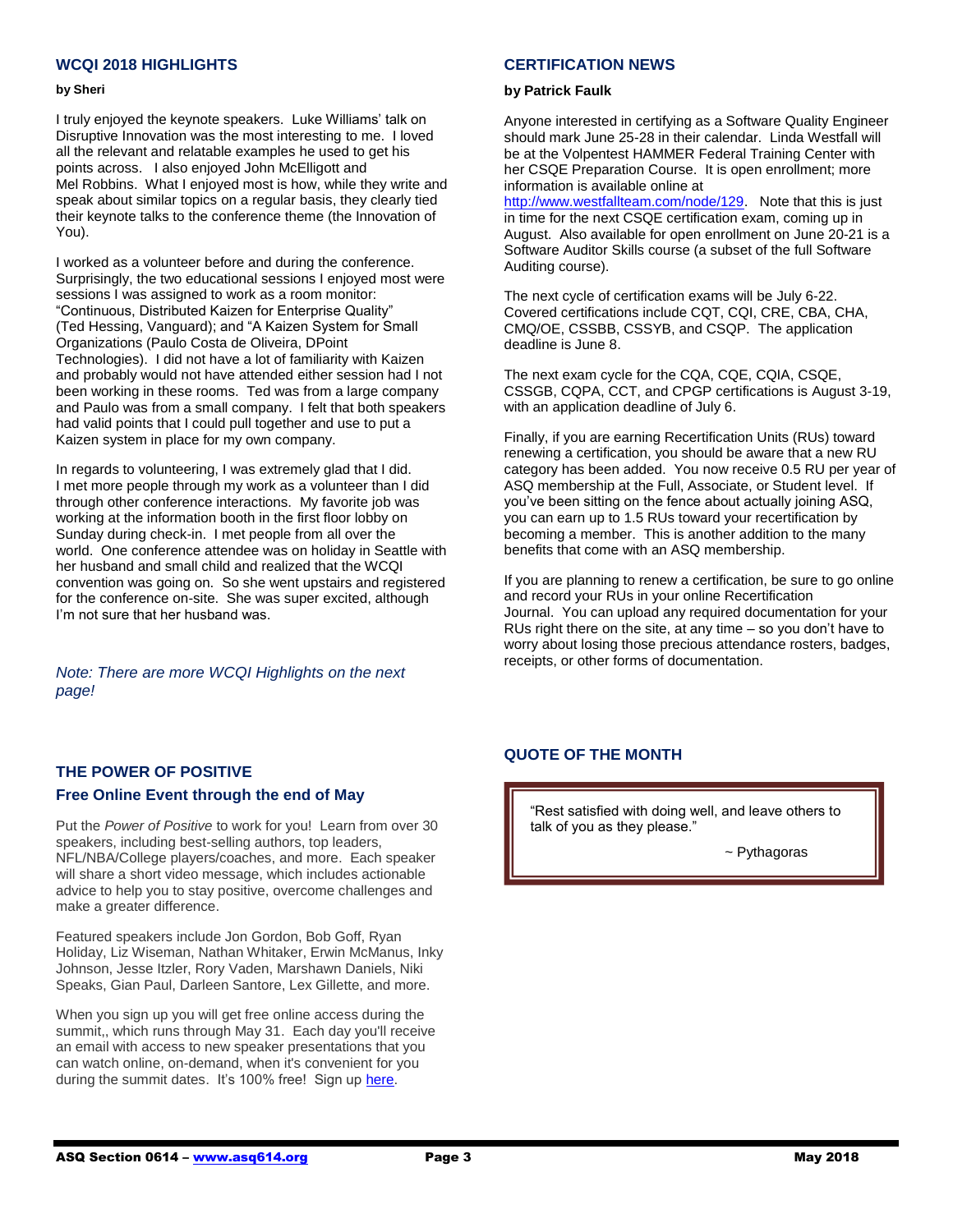# **WCQI 2018 HIGHLIGHTS**

#### **by Sheri**

I truly enjoyed the keynote speakers. Luke Williams' talk on Disruptive Innovation was the most interesting to me. I loved all the relevant and relatable examples he used to get his points across. I also enjoyed John McElligott and Mel Robbins. What I enjoyed most is how, while they write and speak about similar topics on a regular basis, they clearly tied their keynote talks to the conference theme (the Innovation of You).

I worked as a volunteer before and during the conference. Surprisingly, the two educational sessions I enjoyed most were sessions I was assigned to work as a room monitor: "Continuous, Distributed Kaizen for Enterprise Quality" (Ted Hessing, Vanguard); and "A Kaizen System for Small Organizations (Paulo Costa de Oliveira, DPoint Technologies). I did not have a lot of familiarity with Kaizen and probably would not have attended either session had I not been working in these rooms. Ted was from a large company and Paulo was from a small company. I felt that both speakers had valid points that I could pull together and use to put a Kaizen system in place for my own company.

In regards to volunteering, I was extremely glad that I did. I met more people through my work as a volunteer than I did through other conference interactions. My favorite job was working at the information booth in the first floor lobby on Sunday during check-in. I met people from all over the world. One conference attendee was on holiday in Seattle with her husband and small child and realized that the WCQI convention was going on. So she went upstairs and registered for the conference on-site. She was super excited, although I'm not sure that her husband was.

*Note: There are more WCQI Highlights on the next page!*

# **CERTIFICATION NEWS**

### **by Patrick Faulk**

Anyone interested in certifying as a Software Quality Engineer should mark June 25-28 in their calendar. Linda Westfall will be at the Volpentest HAMMER Federal Training Center with her CSQE Preparation Course. It is open enrollment; more information is available online at

[http://www.westfallteam.com/node/129.](http://www.westfallteam.com/node/129) Note that this is just in time for the next CSQE certification exam, coming up in August. Also available for open enrollment on June 20-21 is a Software Auditor Skills course (a subset of the full Software Auditing course).

The next cycle of certification exams will be July 6-22. Covered certifications include CQT, CQI, CRE, CBA, CHA, CMQ/OE, CSSBB, CSSYB, and CSQP. The application deadline is June 8.

The next exam cycle for the CQA, CQE, CQIA, CSQE, CSSGB, CQPA, CCT, and CPGP certifications is August 3-19, with an application deadline of July 6.

Finally, if you are earning Recertification Units (RUs) toward renewing a certification, you should be aware that a new RU category has been added. You now receive 0.5 RU per year of ASQ membership at the Full, Associate, or Student level. If you've been sitting on the fence about actually joining ASQ, you can earn up to 1.5 RUs toward your recertification by becoming a member. This is another addition to the many benefits that come with an ASQ membership.

If you are planning to renew a certification, be sure to go online and record your RUs in your online Recertification Journal. You can upload any required documentation for your RUs right there on the site, at any time – so you don't have to worry about losing those precious attendance rosters, badges, receipts, or other forms of documentation.

# **QUOTE OF THE MONTH**

"Rest satisfied with doing well, and leave others to talk of you as they please."

~ Pythagoras

# **THE POWER OF POSITIVE**

# **Free Online Event through the end of May**

Put the *Power of Positive* to work for you! Learn from over 30 speakers, including best-selling authors, top leaders, NFL/NBA/College players/coaches, and more. Each speaker will share a short video message, which includes actionable advice to help you to stay positive, overcome challenges and make a greater difference.

Featured speakers include Jon Gordon, Bob Goff, Ryan Holiday, Liz Wiseman, Nathan Whitaker, Erwin McManus, Inky Johnson, Jesse Itzler, Rory Vaden, Marshawn Daniels, Niki Speaks, Gian Paul, Darleen Santore, Lex Gillette, and more.

When you sign up you will get free online access during the summit,, which runs through May 31. Each day you'll receive an email with access to new speaker presentations that you can watch online, on-demand, when it's convenient for you during the summit dates. It's 100% free! Sign up [here.](http://www.powerofpositivesummit.com/)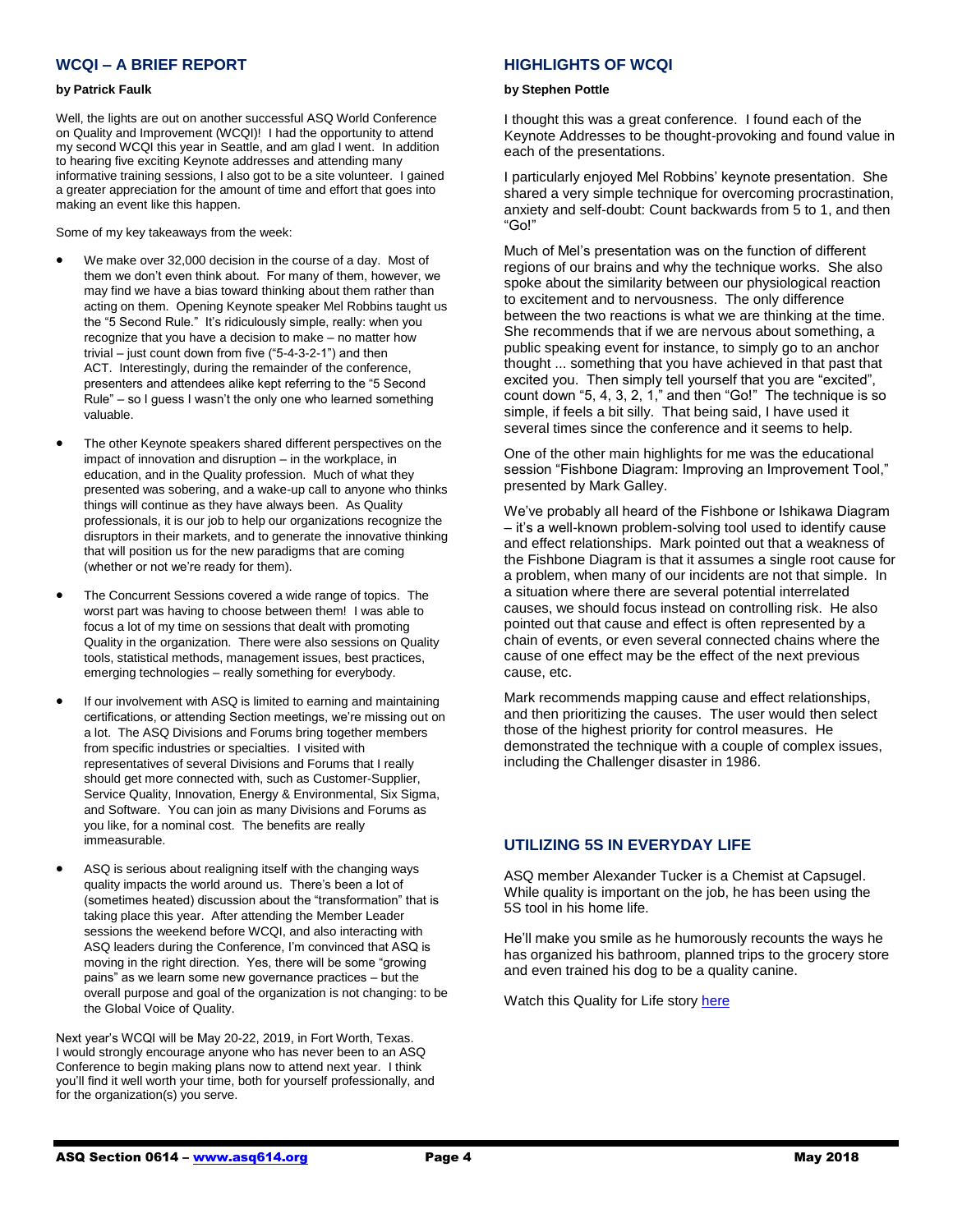# **WCQI – A BRIEF REPORT**

#### **by Patrick Faulk**

Well, the lights are out on another successful ASQ World Conference on Quality and Improvement (WCQI)! I had the opportunity to attend my second WCQI this year in Seattle, and am glad I went. In addition to hearing five exciting Keynote addresses and attending many informative training sessions, I also got to be a site volunteer. I gained a greater appreciation for the amount of time and effort that goes into making an event like this happen.

Some of my key takeaways from the week:

- We make over 32,000 decision in the course of a day. Most of them we don't even think about. For many of them, however, we may find we have a bias toward thinking about them rather than acting on them. Opening Keynote speaker Mel Robbins taught us the "5 Second Rule." It's ridiculously simple, really: when you recognize that you have a decision to make – no matter how trivial – just count down from five ("5-4-3-2-1") and then ACT. Interestingly, during the remainder of the conference, presenters and attendees alike kept referring to the "5 Second Rule" – so I guess I wasn't the only one who learned something valuable.
- The other Keynote speakers shared different perspectives on the impact of innovation and disruption – in the workplace, in education, and in the Quality profession. Much of what they presented was sobering, and a wake-up call to anyone who thinks things will continue as they have always been. As Quality professionals, it is our job to help our organizations recognize the disruptors in their markets, and to generate the innovative thinking that will position us for the new paradigms that are coming (whether or not we're ready for them).
- The Concurrent Sessions covered a wide range of topics. The worst part was having to choose between them! I was able to focus a lot of my time on sessions that dealt with promoting Quality in the organization. There were also sessions on Quality tools, statistical methods, management issues, best practices, emerging technologies – really something for everybody.
- If our involvement with ASQ is limited to earning and maintaining certifications, or attending Section meetings, we're missing out on a lot. The ASQ Divisions and Forums bring together members from specific industries or specialties. I visited with representatives of several Divisions and Forums that I really should get more connected with, such as Customer-Supplier, Service Quality, Innovation, Energy & Environmental, Six Sigma, and Software. You can join as many Divisions and Forums as you like, for a nominal cost. The benefits are really immeasurable.
- ASQ is serious about realigning itself with the changing ways quality impacts the world around us. There's been a lot of (sometimes heated) discussion about the "transformation" that is taking place this year. After attending the Member Leader sessions the weekend before WCQI, and also interacting with ASQ leaders during the Conference, I'm convinced that ASQ is moving in the right direction. Yes, there will be some "growing pains" as we learn some new governance practices – but the overall purpose and goal of the organization is not changing: to be the Global Voice of Quality.

Next year's WCQI will be May 20-22, 2019, in Fort Worth, Texas. I would strongly encourage anyone who has never been to an ASQ Conference to begin making plans now to attend next year. I think you'll find it well worth your time, both for yourself professionally, and for the organization(s) you serve.

# **HIGHLIGHTS OF WCQI**

#### **by Stephen Pottle**

I thought this was a great conference. I found each of the Keynote Addresses to be thought-provoking and found value in each of the presentations.

I particularly enjoyed Mel Robbins' keynote presentation. She shared a very simple technique for overcoming procrastination, anxiety and self-doubt: Count backwards from 5 to 1, and then "Go!"

Much of Mel's presentation was on the function of different regions of our brains and why the technique works. She also spoke about the similarity between our physiological reaction to excitement and to nervousness. The only difference between the two reactions is what we are thinking at the time. She recommends that if we are nervous about something, a public speaking event for instance, to simply go to an anchor thought ... something that you have achieved in that past that excited you. Then simply tell yourself that you are "excited", count down "5, 4, 3, 2, 1," and then "Go!" The technique is so simple, if feels a bit silly. That being said, I have used it several times since the conference and it seems to help.

One of the other main highlights for me was the educational session "Fishbone Diagram: Improving an Improvement Tool," presented by Mark Galley.

We've probably all heard of the Fishbone or Ishikawa Diagram – it's a well-known problem-solving tool used to identify cause and effect relationships. Mark pointed out that a weakness of the Fishbone Diagram is that it assumes a single root cause for a problem, when many of our incidents are not that simple. In a situation where there are several potential interrelated causes, we should focus instead on controlling risk. He also pointed out that cause and effect is often represented by a chain of events, or even several connected chains where the cause of one effect may be the effect of the next previous cause, etc.

Mark recommends mapping cause and effect relationships, and then prioritizing the causes. The user would then select those of the highest priority for control measures. He demonstrated the technique with a couple of complex issues, including the Challenger disaster in 1986.

# **UTILIZING 5S IN EVERYDAY LIFE**

ASQ member Alexander Tucker is a Chemist at Capsugel. While quality is important on the job, he has been using the 5S tool in his home life.

He'll make you smile as he humorously recounts the ways he has organized his bathroom, planned trips to the grocery store and even trained his dog to be a quality canine.

Watch this Quality for Life story [here](http://videos.asq.org/utilizing-5s-in-everyday-life?utm_source=email&utm_medium=banner%20ad&utm_campaign=editorial_qpc_0318)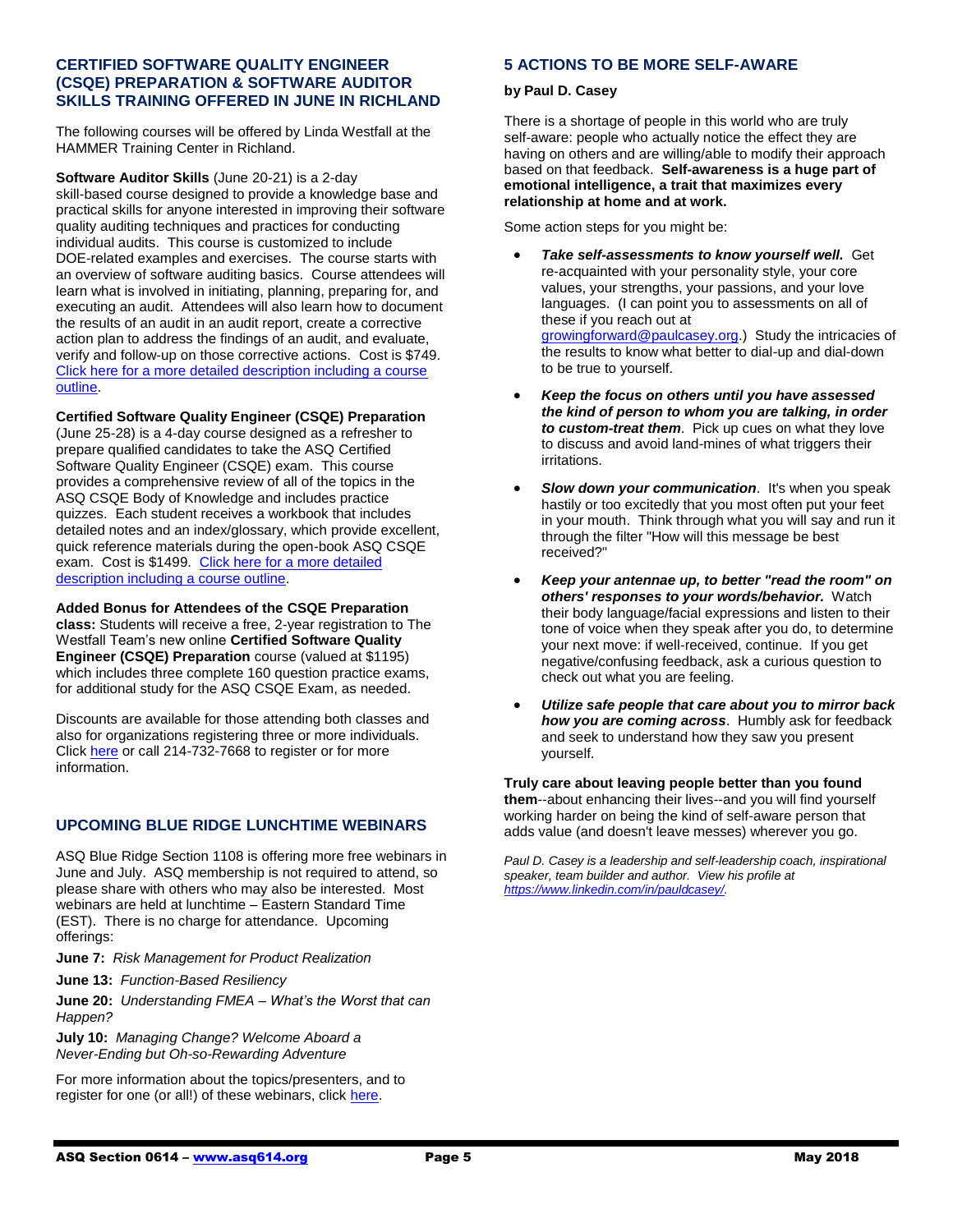# **CERTIFIED SOFTWARE QUALITY ENGINEER (CSQE) PREPARATION & SOFTWARE AUDITOR SKILLS TRAINING OFFERED IN JUNE IN RICHLAND**

The following courses will be offered by Linda Westfall at the HAMMER Training Center in Richland.

**Software Auditor Skills** (June 20-21) is a 2-day skill-based course designed to provide a knowledge base and practical skills for anyone interested in improving their software quality auditing techniques and practices for conducting individual audits. This course is customized to include DOE-related examples and exercises. The course starts with an overview of software auditing basics. Course attendees will learn what is involved in initiating, planning, preparing for, and executing an audit. Attendees will also learn how to document the results of an audit in an audit report, create a corrective action plan to address the findings of an audit, and evaluate, verify and follow-up on those corrective actions. Cost is \$749. [Click here for a more detailed description including a course](http://westfallteam.com/sites/default/files/training/Software%20Auditor%20Skills.pdf)  [outline.](http://westfallteam.com/sites/default/files/training/Software%20Auditor%20Skills.pdf)

# **Certified Software Quality Engineer (CSQE) Preparation**

(June 25-28) is a 4-day course designed as a refresher to prepare qualified candidates to take the ASQ Certified Software Quality Engineer (CSQE) exam. This course provides a comprehensive review of all of the topics in the ASQ CSQE Body of Knowledge and includes practice quizzes. Each student receives a workbook that includes detailed notes and an index/glossary, which provide excellent, quick reference materials during the open-book ASQ CSQE exam. Cost is \$1499. [Click here for a more detailed](http://www.westfallteam.com/sites/default/files/training/Course%20Descriptions%20%26%20Outlines%20-%20Certified%20Software%20Quality%20Engineer%20%28CSQE%29%20Preparation%202017_0.pdf)  [description including a course outline.](http://www.westfallteam.com/sites/default/files/training/Course%20Descriptions%20%26%20Outlines%20-%20Certified%20Software%20Quality%20Engineer%20%28CSQE%29%20Preparation%202017_0.pdf)

## **Added Bonus for Attendees of the CSQE Preparation**

**class:** Students will receive a free, 2-year registration to The Westfall Team's new online **Certified Software Quality Engineer (CSQE) Preparation** course (valued at \$1195) which includes three complete 160 question practice exams, for additional study for the ASQ CSQE Exam, as needed.

Discounts are available for those attending both classes and also for organizations registering three or more individuals. Click [here](http://www.westfallteam.com/node/129) or call 214-732-7668 to register or for more information.

# **UPCOMING BLUE RIDGE LUNCHTIME WEBINARS**

ASQ Blue Ridge Section 1108 is offering more free webinars in June and July. ASQ membership is not required to attend, so please share with others who may also be interested. Most webinars are held at lunchtime – Eastern Standard Time (EST). There is no charge for attendance. Upcoming offerings:

**June 7:** *Risk Management for Product Realization*

**June 13:** *Function-Based Resiliency*

**June 20:** *Understanding FMEA – What's the Worst that can Happen?*

**July 10:** *Managing Change? Welcome Aboard a Never-Ending but Oh-so-Rewarding Adventure*

For more information about the topics/presenters, and to register for one (or all!) of these webinars, click [here.](http://www.blueridgeasq1108.org/upcoming-events/)

# **5 ACTIONS TO BE MORE SELF-AWARE**

## **by Paul D. Casey**

There is a shortage of people in this world who are truly self-aware: people who actually notice the effect they are having on others and are willing/able to modify their approach based on that feedback. **Self-awareness is a huge part of emotional intelligence, a trait that maximizes every relationship at home and at work.**

Some action steps for you might be:

- *Take self-assessments to know yourself well.* Get re-acquainted with your personality style, your core values, your strengths, your passions, and your love languages. (I can point you to assessments on all of these if you reach out at [growingforward@paulcasey.org.](mailto:growingforward@paulcasey.org)) Study the intricacies of the results to know what better to dial-up and dial-down to be true to yourself.
- *Keep the focus on others until you have assessed the kind of person to whom you are talking, in order to custom-treat them*. Pick up cues on what they love to discuss and avoid land-mines of what triggers their irritations.
- *Slow down your communication*. It's when you speak hastily or too excitedly that you most often put your feet in your mouth. Think through what you will say and run it through the filter "How will this message be best received?"
- *Keep your antennae up, to better "read the room" on others' responses to your words/behavior.* Watch their body language/facial expressions and listen to their tone of voice when they speak after you do, to determine your next move: if well-received, continue. If you get negative/confusing feedback, ask a curious question to check out what you are feeling.
- *Utilize safe people that care about you to mirror back how you are coming across*. Humbly ask for feedback and seek to understand how they saw you present yourself.

**Truly care about leaving people better than you found them**--about enhancing their lives--and you will find yourself working harder on being the kind of self-aware person that adds value (and doesn't leave messes) wherever you go.

*Paul D. Casey is a leadership and self-leadership coach, inspirational speaker, team builder and author. View his profile at [https://www.linkedin.com/in/pauldcasey/.](https://www.linkedin.com/in/pauldcasey/)*